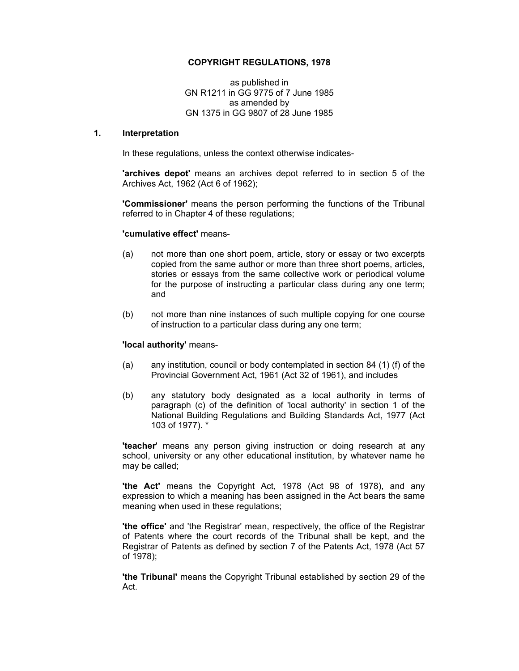### **COPYRIGHT REGULATIONS, 1978**

as published in GN R1211 in GG 9775 of 7 June 1985 as amended by GN 1375 in GG 9807 of 28 June 1985

#### **1. Interpretation**

In these regulations, unless the context otherwise indicates-

**'archives depot'** means an archives depot referred to in section 5 of the Archives Act, 1962 (Act 6 of 1962);

**'Commissioner'** means the person performing the functions of the Tribunal referred to in Chapter 4 of these regulations;

### **'cumulative effect'** means-

- (a) not more than one short poem, article, story or essay or two excerpts copied from the same author or more than three short poems, articles, stories or essays from the same collective work or periodical volume for the purpose of instructing a particular class during any one term; and
- (b) not more than nine instances of such multiple copying for one course of instruction to a particular class during any one term;

### **'local authority'** means-

- (a) any institution, council or body contemplated in section 84 (1) (f) of the Provincial Government Act, 1961 (Act 32 of 1961), and includes
- (b) any statutory body designated as a local authority in terms of paragraph (c) of the definition of 'local authority' in section 1 of the National Building Regulations and Building Standards Act, 1977 (Act 103 of 1977). \*

**'teacher**' means any person giving instruction or doing research at any school, university or any other educational institution, by whatever name he may be called;

**'the Act'** means the Copyright Act, 1978 (Act 98 of 1978), and any expression to which a meaning has been assigned in the Act bears the same meaning when used in these regulations;

**'the office'** and 'the Registrar' mean, respectively, the office of the Registrar of Patents where the court records of the Tribunal shall be kept, and the Registrar of Patents as defined by section 7 of the Patents Act, 1978 (Act 57 of 1978);

**'the Tribunal'** means the Copyright Tribunal established by section 29 of the Act.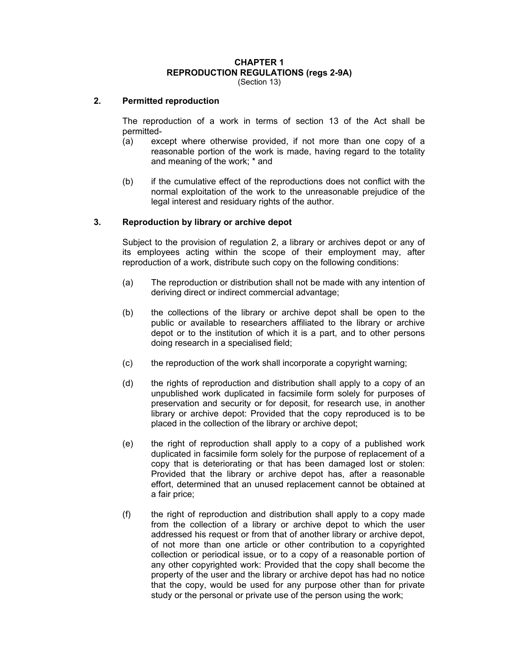# **CHAPTER 1 REPRODUCTION REGULATIONS (regs 2-9A)**

(Section 13)

#### **2. Permitted reproduction**

The reproduction of a work in terms of section 13 of the Act shall be permitted-

- (a) except where otherwise provided, if not more than one copy of a reasonable portion of the work is made, having regard to the totality and meaning of the work; \* and
- (b) if the cumulative effect of the reproductions does not conflict with the normal exploitation of the work to the unreasonable prejudice of the legal interest and residuary rights of the author.

#### **3. Reproduction by library or archive depot**

Subject to the provision of regulation 2, a library or archives depot or any of its employees acting within the scope of their employment may, after reproduction of a work, distribute such copy on the following conditions:

- (a) The reproduction or distribution shall not be made with any intention of deriving direct or indirect commercial advantage;
- (b) the collections of the library or archive depot shall be open to the public or available to researchers affiliated to the library or archive depot or to the institution of which it is a part, and to other persons doing research in a specialised field;
- (c) the reproduction of the work shall incorporate a copyright warning;
- (d) the rights of reproduction and distribution shall apply to a copy of an unpublished work duplicated in facsimile form solely for purposes of preservation and security or for deposit, for research use, in another library or archive depot: Provided that the copy reproduced is to be placed in the collection of the library or archive depot;
- (e) the right of reproduction shall apply to a copy of a published work duplicated in facsimile form solely for the purpose of replacement of a copy that is deteriorating or that has been damaged lost or stolen: Provided that the library or archive depot has, after a reasonable effort, determined that an unused replacement cannot be obtained at a fair price;
- (f) the right of reproduction and distribution shall apply to a copy made from the collection of a library or archive depot to which the user addressed his request or from that of another library or archive depot, of not more than one article or other contribution to a copyrighted collection or periodical issue, or to a copy of a reasonable portion of any other copyrighted work: Provided that the copy shall become the property of the user and the library or archive depot has had no notice that the copy, would be used for any purpose other than for private study or the personal or private use of the person using the work;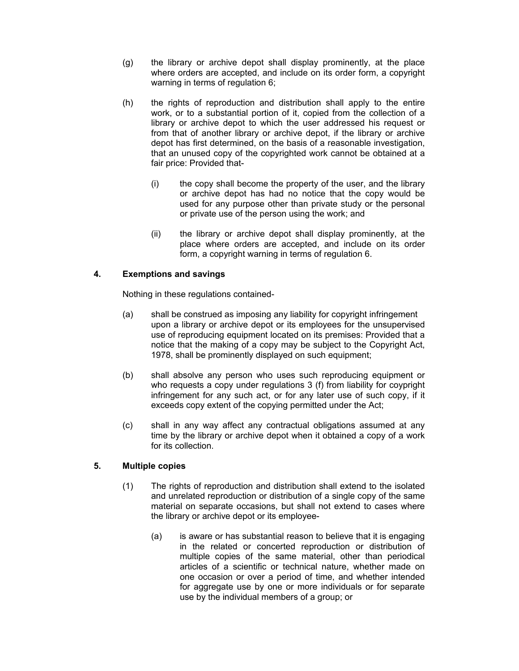- (g) the library or archive depot shall display prominently, at the place where orders are accepted, and include on its order form, a copyright warning in terms of regulation 6;
- (h) the rights of reproduction and distribution shall apply to the entire work, or to a substantial portion of it, copied from the collection of a library or archive depot to which the user addressed his request or from that of another library or archive depot, if the library or archive depot has first determined, on the basis of a reasonable investigation, that an unused copy of the copyrighted work cannot be obtained at a fair price: Provided that-
	- (i) the copy shall become the property of the user, and the library or archive depot has had no notice that the copy would be used for any purpose other than private study or the personal or private use of the person using the work; and
	- (ii) the library or archive depot shall display prominently, at the place where orders are accepted, and include on its order form, a copyright warning in terms of regulation 6.

# **4. Exemptions and savings**

Nothing in these regulations contained-

- (a) shall be construed as imposing any liability for copyright infringement upon a library or archive depot or its employees for the unsupervised use of reproducing equipment located on its premises: Provided that a notice that the making of a copy may be subject to the Copyright Act, 1978, shall be prominently displayed on such equipment;
- (b) shall absolve any person who uses such reproducing equipment or who requests a copy under regulations 3 (f) from liability for coypright infringement for any such act, or for any later use of such copy, if it exceeds copy extent of the copying permitted under the Act;
- (c) shall in any way affect any contractual obligations assumed at any time by the library or archive depot when it obtained a copy of a work for its collection.

# **5. Multiple copies**

- (1) The rights of reproduction and distribution shall extend to the isolated and unrelated reproduction or distribution of a single copy of the same material on separate occasions, but shall not extend to cases where the library or archive depot or its employee-
	- (a) is aware or has substantial reason to believe that it is engaging in the related or concerted reproduction or distribution of multiple copies of the same material, other than periodical articles of a scientific or technical nature, whether made on one occasion or over a period of time, and whether intended for aggregate use by one or more individuals or for separate use by the individual members of a group; or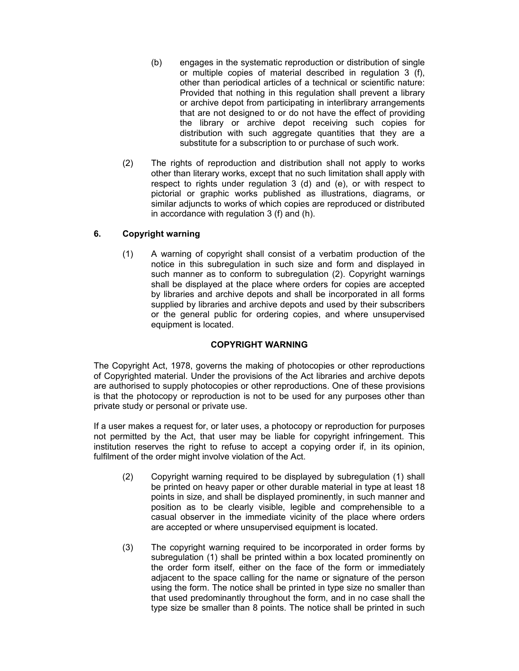- (b) engages in the systematic reproduction or distribution of single or multiple copies of material described in regulation 3 (f), other than periodical articles of a technical or scientific nature: Provided that nothing in this regulation shall prevent a library or archive depot from participating in interlibrary arrangements that are not designed to or do not have the effect of providing the library or archive depot receiving such copies for distribution with such aggregate quantities that they are a substitute for a subscription to or purchase of such work.
- (2) The rights of reproduction and distribution shall not apply to works other than literary works, except that no such limitation shall apply with respect to rights under regulation 3 (d) and (e), or with respect to pictorial or graphic works published as illustrations, diagrams, or similar adjuncts to works of which copies are reproduced or distributed in accordance with regulation 3 (f) and (h).

# **6. Copyright warning**

(1) A warning of copyright shall consist of a verbatim production of the notice in this subregulation in such size and form and displayed in such manner as to conform to subregulation (2). Copyright warnings shall be displayed at the place where orders for copies are accepted by libraries and archive depots and shall be incorporated in all forms supplied by libraries and archive depots and used by their subscribers or the general public for ordering copies, and where unsupervised equipment is located.

# **COPYRIGHT WARNING**

The Copyright Act, 1978, governs the making of photocopies or other reproductions of Copyrighted material. Under the provisions of the Act libraries and archive depots are authorised to supply photocopies or other reproductions. One of these provisions is that the photocopy or reproduction is not to be used for any purposes other than private study or personal or private use.

If a user makes a request for, or later uses, a photocopy or reproduction for purposes not permitted by the Act, that user may be liable for copyright infringement. This institution reserves the right to refuse to accept a copying order if, in its opinion, fulfilment of the order might involve violation of the Act.

- (2) Copyright warning required to be displayed by subregulation (1) shall be printed on heavy paper or other durable material in type at least 18 points in size, and shall be displayed prominently, in such manner and position as to be clearly visible, legible and comprehensible to a casual observer in the immediate vicinity of the place where orders are accepted or where unsupervised equipment is located.
- (3) The copyright warning required to be incorporated in order forms by subregulation (1) shall be printed within a box located prominently on the order form itself, either on the face of the form or immediately adjacent to the space calling for the name or signature of the person using the form. The notice shall be printed in type size no smaller than that used predominantly throughout the form, and in no case shall the type size be smaller than 8 points. The notice shall be printed in such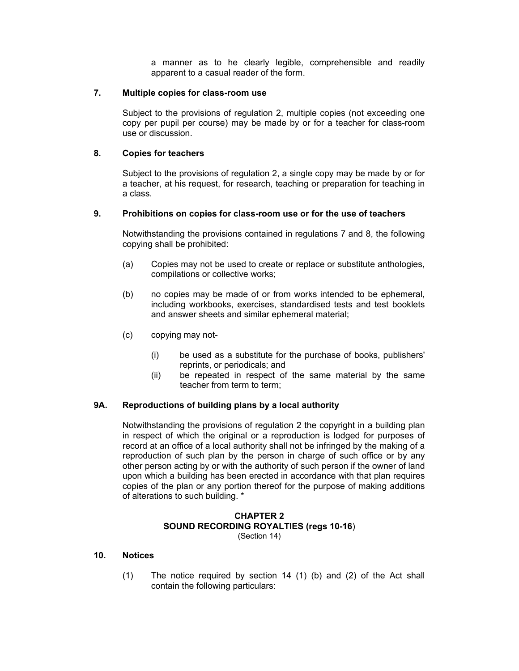a manner as to he clearly legible, comprehensible and readily apparent to a casual reader of the form.

### **7. Multiple copies for class-room use**

Subject to the provisions of regulation 2, multiple copies (not exceeding one copy per pupil per course) may be made by or for a teacher for class-room use or discussion.

## **8. Copies for teachers**

Subject to the provisions of regulation 2, a single copy may be made by or for a teacher, at his request, for research, teaching or preparation for teaching in a class.

### **9. Prohibitions on copies for class-room use or for the use of teachers**

Notwithstanding the provisions contained in regulations 7 and 8, the following copying shall be prohibited:

- (a) Copies may not be used to create or replace or substitute anthologies, compilations or collective works;
- (b) no copies may be made of or from works intended to be ephemeral, including workbooks, exercises, standardised tests and test booklets and answer sheets and similar ephemeral material;
- (c) copying may not-
	- (i) be used as a substitute for the purchase of books, publishers' reprints, or periodicals; and
	- (ii) be repeated in respect of the same material by the same teacher from term to term;

# **9A. Reproductions of building plans by a local authority**

Notwithstanding the provisions of regulation 2 the copyright in a building plan in respect of which the original or a reproduction is lodged for purposes of record at an office of a local authority shall not be infringed by the making of a reproduction of such plan by the person in charge of such office or by any other person acting by or with the authority of such person if the owner of land upon which a building has been erected in accordance with that plan requires copies of the plan or any portion thereof for the purpose of making additions of alterations to such building. \*

### **CHAPTER 2 SOUND RECORDING ROYALTIES (regs 10-16**) (Section 14)

### **10. Notices**

(1) The notice required by section 14 (1) (b) and (2) of the Act shall contain the following particulars: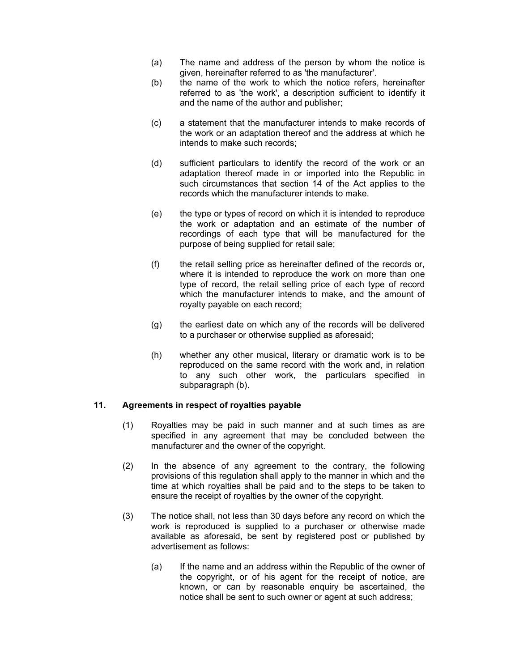- (a) The name and address of the person by whom the notice is given, hereinafter referred to as 'the manufacturer'.
- (b) the name of the work to which the notice refers, hereinafter referred to as 'the work', a description sufficient to identify it and the name of the author and publisher;
- (c) a statement that the manufacturer intends to make records of the work or an adaptation thereof and the address at which he intends to make such records;
- (d) sufficient particulars to identify the record of the work or an adaptation thereof made in or imported into the Republic in such circumstances that section 14 of the Act applies to the records which the manufacturer intends to make.
- (e) the type or types of record on which it is intended to reproduce the work or adaptation and an estimate of the number of recordings of each type that will be manufactured for the purpose of being supplied for retail sale;
- (f) the retail selling price as hereinafter defined of the records or, where it is intended to reproduce the work on more than one type of record, the retail selling price of each type of record which the manufacturer intends to make, and the amount of royalty payable on each record;
- (g) the earliest date on which any of the records will be delivered to a purchaser or otherwise supplied as aforesaid;
- (h) whether any other musical, literary or dramatic work is to be reproduced on the same record with the work and, in relation to any such other work, the particulars specified in subparagraph (b).

# **11. Agreements in respect of royalties payable**

- (1) Royalties may be paid in such manner and at such times as are specified in any agreement that may be concluded between the manufacturer and the owner of the copyright.
- (2) In the absence of any agreement to the contrary, the following provisions of this regulation shall apply to the manner in which and the time at which royalties shall be paid and to the steps to be taken to ensure the receipt of royalties by the owner of the copyright.
- (3) The notice shall, not less than 30 days before any record on which the work is reproduced is supplied to a purchaser or otherwise made available as aforesaid, be sent by registered post or published by advertisement as follows:
	- (a) If the name and an address within the Republic of the owner of the copyright, or of his agent for the receipt of notice, are known, or can by reasonable enquiry be ascertained, the notice shall be sent to such owner or agent at such address;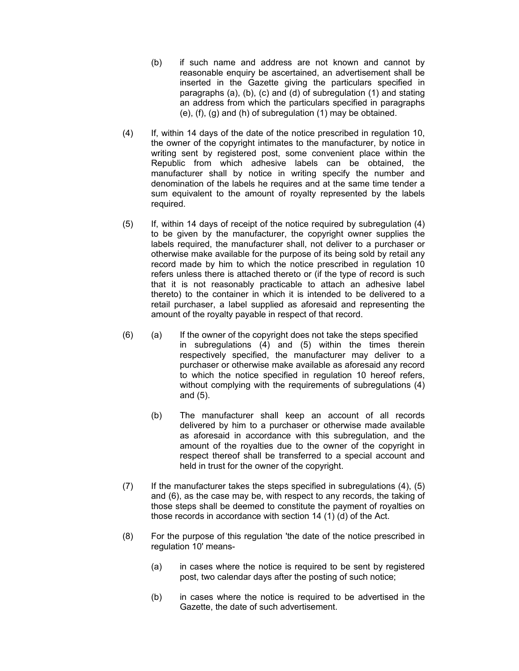- (b) if such name and address are not known and cannot by reasonable enquiry be ascertained, an advertisement shall be inserted in the Gazette giving the particulars specified in paragraphs (a), (b), (c) and (d) of subregulation (1) and stating an address from which the particulars specified in paragraphs (e), (f), (g) and (h) of subregulation (1) may be obtained.
- (4) If, within 14 days of the date of the notice prescribed in regulation 10, the owner of the copyright intimates to the manufacturer, by notice in writing sent by registered post, some convenient place within the Republic from which adhesive labels can be obtained, the manufacturer shall by notice in writing specify the number and denomination of the labels he requires and at the same time tender a sum equivalent to the amount of royalty represented by the labels required.
- (5) If, within 14 days of receipt of the notice required by subregulation (4) to be given by the manufacturer, the copyright owner supplies the labels required, the manufacturer shall, not deliver to a purchaser or otherwise make available for the purpose of its being sold by retail any record made by him to which the notice prescribed in regulation 10 refers unless there is attached thereto or (if the type of record is such that it is not reasonably practicable to attach an adhesive label thereto) to the container in which it is intended to be delivered to a retail purchaser, a label supplied as aforesaid and representing the amount of the royalty payable in respect of that record.
- (6) (a) If the owner of the copyright does not take the steps specified in subregulations (4) and (5) within the times therein respectively specified, the manufacturer may deliver to a purchaser or otherwise make available as aforesaid any record to which the notice specified in regulation 10 hereof refers, without complying with the requirements of subregulations (4) and (5).
	- (b) The manufacturer shall keep an account of all records delivered by him to a purchaser or otherwise made available as aforesaid in accordance with this subregulation, and the amount of the royalties due to the owner of the copyright in respect thereof shall be transferred to a special account and held in trust for the owner of the copyright.
- (7) If the manufacturer takes the steps specified in subregulations (4), (5) and (6), as the case may be, with respect to any records, the taking of those steps shall be deemed to constitute the payment of royalties on those records in accordance with section 14 (1) (d) of the Act.
- (8) For the purpose of this regulation 'the date of the notice prescribed in regulation 10' means-
	- (a) in cases where the notice is required to be sent by registered post, two calendar days after the posting of such notice;
	- (b) in cases where the notice is required to be advertised in the Gazette, the date of such advertisement.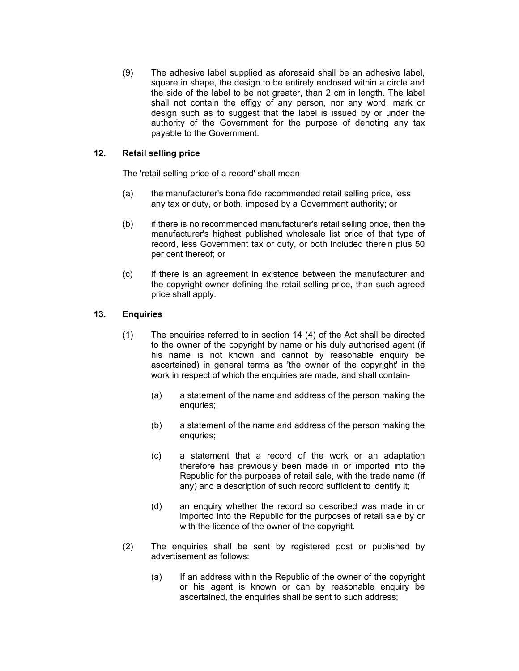(9) The adhesive label supplied as aforesaid shall be an adhesive label, square in shape, the design to be entirely enclosed within a circle and the side of the label to be not greater, than 2 cm in length. The label shall not contain the effigy of any person, nor any word, mark or design such as to suggest that the label is issued by or under the authority of the Government for the purpose of denoting any tax payable to the Government.

# **12. Retail selling price**

The 'retail selling price of a record' shall mean-

- (a) the manufacturer's bona fide recommended retail selling price, less any tax or duty, or both, imposed by a Government authority; or
- (b) if there is no recommended manufacturer's retail selling price, then the manufacturer's highest published wholesale list price of that type of record, less Government tax or duty, or both included therein plus 50 per cent thereof; or
- (c) if there is an agreement in existence between the manufacturer and the copyright owner defining the retail selling price, than such agreed price shall apply.

# **13. Enquiries**

- (1) The enquiries referred to in section 14 (4) of the Act shall be directed to the owner of the copyright by name or his duly authorised agent (if his name is not known and cannot by reasonable enquiry be ascertained) in general terms as 'the owner of the copyright' in the work in respect of which the enquiries are made, and shall contain-
	- (a) a statement of the name and address of the person making the enquries;
	- (b) a statement of the name and address of the person making the enquries:
	- (c) a statement that a record of the work or an adaptation therefore has previously been made in or imported into the Republic for the purposes of retail sale, with the trade name (if any) and a description of such record sufficient to identify it;
	- (d) an enquiry whether the record so described was made in or imported into the Republic for the purposes of retail sale by or with the licence of the owner of the copyright.
- (2) The enquiries shall be sent by registered post or published by advertisement as follows:
	- (a) If an address within the Republic of the owner of the copyright or his agent is known or can by reasonable enquiry be ascertained, the enquiries shall be sent to such address;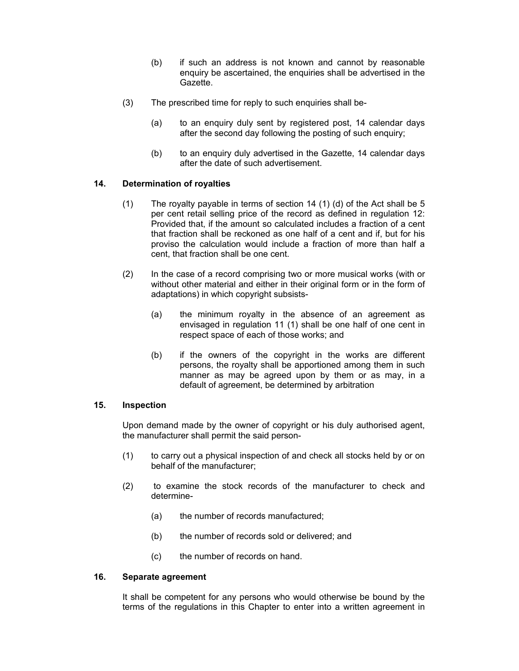- (b) if such an address is not known and cannot by reasonable enquiry be ascertained, the enquiries shall be advertised in the Gazette.
- (3) The prescribed time for reply to such enquiries shall be-
	- (a) to an enquiry duly sent by registered post, 14 calendar days after the second day following the posting of such enquiry;
	- (b) to an enquiry duly advertised in the Gazette, 14 calendar days after the date of such advertisement.

# **14. Determination of royalties**

- (1) The royalty payable in terms of section 14 (1) (d) of the Act shall be 5 per cent retail selling price of the record as defined in regulation 12: Provided that, if the amount so calculated includes a fraction of a cent that fraction shall be reckoned as one half of a cent and if, but for his proviso the calculation would include a fraction of more than half a cent, that fraction shall be one cent.
- (2) In the case of a record comprising two or more musical works (with or without other material and either in their original form or in the form of adaptations) in which copyright subsists-
	- (a) the minimum royalty in the absence of an agreement as envisaged in regulation 11 (1) shall be one half of one cent in respect space of each of those works; and
	- (b) if the owners of the copyright in the works are different persons, the royalty shall be apportioned among them in such manner as may be agreed upon by them or as may, in a default of agreement, be determined by arbitration

# **15. Inspection**

Upon demand made by the owner of copyright or his duly authorised agent, the manufacturer shall permit the said person-

- (1) to carry out a physical inspection of and check all stocks held by or on behalf of the manufacturer;
- (2) to examine the stock records of the manufacturer to check and determine-
	- (a) the number of records manufactured;
	- (b) the number of records sold or delivered; and
	- (c) the number of records on hand.

#### **16. Separate agreement**

It shall be competent for any persons who would otherwise be bound by the terms of the regulations in this Chapter to enter into a written agreement in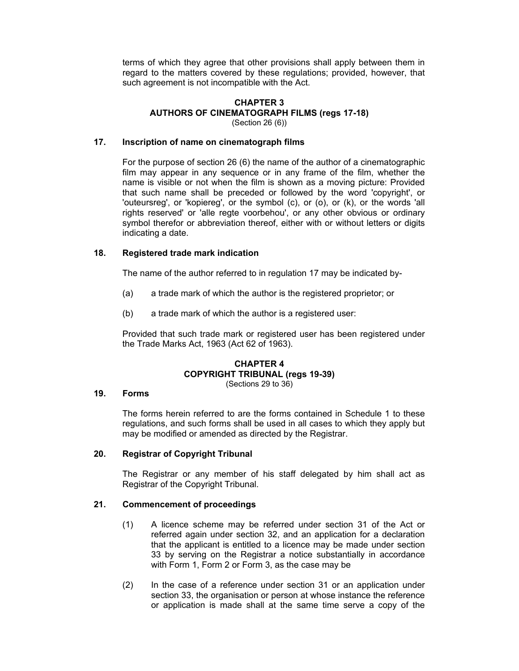terms of which they agree that other provisions shall apply between them in regard to the matters covered by these regulations; provided, however, that such agreement is not incompatible with the Act.

# **CHAPTER 3 AUTHORS OF CINEMATOGRAPH FILMS (regs 17-18)**

(Section 26 (6))

## **17. Inscription of name on cinematograph films**

For the purpose of section 26 (6) the name of the author of a cinematographic film may appear in any sequence or in any frame of the film, whether the name is visible or not when the film is shown as a moving picture: Provided that such name shall be preceded or followed by the word 'copyright', or 'outeursreg', or 'kopiereg', or the symbol (c), or (o), or (k), or the words 'all rights reserved' or 'alle regte voorbehou', or any other obvious or ordinary symbol therefor or abbreviation thereof, either with or without letters or digits indicating a date.

### **18. Registered trade mark indication**

The name of the author referred to in regulation 17 may be indicated by-

- (a) a trade mark of which the author is the registered proprietor; or
- (b) a trade mark of which the author is a registered user:

Provided that such trade mark or registered user has been registered under the Trade Marks Act, 1963 (Act 62 of 1963).

#### **CHAPTER 4 COPYRIGHT TRIBUNAL (regs 19-39)**  (Sections 29 to 36)

# **19. Forms**

The forms herein referred to are the forms contained in Schedule 1 to these regulations, and such forms shall be used in all cases to which they apply but may be modified or amended as directed by the Registrar.

### **20. Registrar of Copyright Tribunal**

The Registrar or any member of his staff delegated by him shall act as Registrar of the Copyright Tribunal.

## **21. Commencement of proceedings**

- (1) A licence scheme may be referred under section 31 of the Act or referred again under section 32, and an application for a declaration that the applicant is entitled to a licence may be made under section 33 by serving on the Registrar a notice substantially in accordance with Form 1, Form 2 or Form 3, as the case may be
- (2) In the case of a reference under section 31 or an application under section 33, the organisation or person at whose instance the reference or application is made shall at the same time serve a copy of the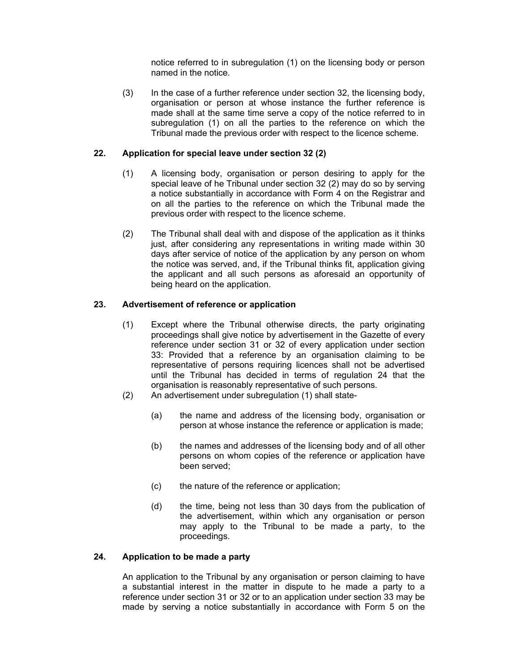notice referred to in subregulation (1) on the licensing body or person named in the notice.

(3) In the case of a further reference under section 32, the licensing body, organisation or person at whose instance the further reference is made shall at the same time serve a copy of the notice referred to in subregulation (1) on all the parties to the reference on which the Tribunal made the previous order with respect to the licence scheme.

## **22. Application for special leave under section 32 (2)**

- (1) A licensing body, organisation or person desiring to apply for the special leave of he Tribunal under section 32 (2) may do so by serving a notice substantially in accordance with Form 4 on the Registrar and on all the parties to the reference on which the Tribunal made the previous order with respect to the licence scheme.
- (2) The Tribunal shall deal with and dispose of the application as it thinks just, after considering any representations in writing made within 30 days after service of notice of the application by any person on whom the notice was served, and, if the Tribunal thinks fit, application giving the applicant and all such persons as aforesaid an opportunity of being heard on the application.

### **23. Advertisement of reference or application**

- (1) Except where the Tribunal otherwise directs, the party originating proceedings shall give notice by advertisement in the Gazette of every reference under section 31 or 32 of every application under section 33: Provided that a reference by an organisation claiming to be representative of persons requiring licences shall not be advertised until the Tribunal has decided in terms of regulation 24 that the organisation is reasonably representative of such persons.
- (2) An advertisement under subregulation (1) shall state-
	- (a) the name and address of the licensing body, organisation or person at whose instance the reference or application is made;
	- (b) the names and addresses of the licensing body and of all other persons on whom copies of the reference or application have been served;
	- (c) the nature of the reference or application;
	- (d) the time, being not less than 30 days from the publication of the advertisement, within which any organisation or person may apply to the Tribunal to be made a party, to the proceedings.

#### **24. Application to be made a party**

An application to the Tribunal by any organisation or person claiming to have a substantial interest in the matter in dispute to he made a party to a reference under section 31 or 32 or to an application under section 33 may be made by serving a notice substantially in accordance with Form 5 on the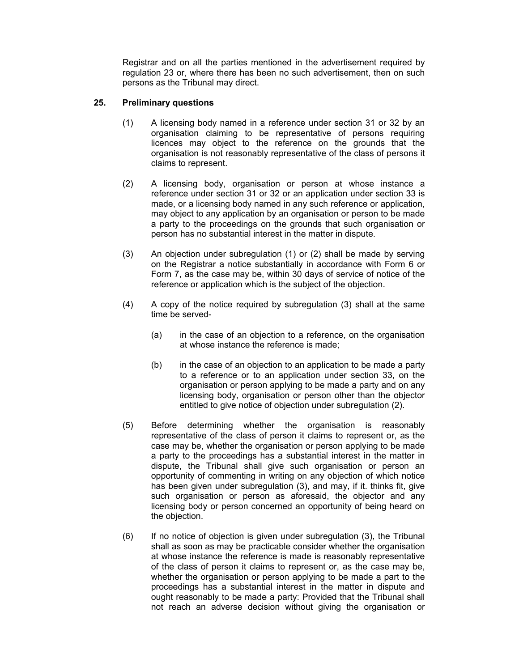Registrar and on all the parties mentioned in the advertisement required by regulation 23 or, where there has been no such advertisement, then on such persons as the Tribunal may direct.

# **25. Preliminary questions**

- (1) A licensing body named in a reference under section 31 or 32 by an organisation claiming to be representative of persons requiring licences may object to the reference on the grounds that the organisation is not reasonably representative of the class of persons it claims to represent.
- (2) A licensing body, organisation or person at whose instance a reference under section 31 or 32 or an application under section 33 is made, or a licensing body named in any such reference or application, may object to any application by an organisation or person to be made a party to the proceedings on the grounds that such organisation or person has no substantial interest in the matter in dispute.
- (3) An objection under subregulation (1) or (2) shall be made by serving on the Registrar a notice substantially in accordance with Form 6 or Form 7, as the case may be, within 30 days of service of notice of the reference or application which is the subject of the objection.
- (4) A copy of the notice required by subregulation (3) shall at the same time be served-
	- (a) in the case of an objection to a reference, on the organisation at whose instance the reference is made;
	- (b) in the case of an objection to an application to be made a party to a reference or to an application under section 33, on the organisation or person applying to be made a party and on any licensing body, organisation or person other than the objector entitled to give notice of objection under subregulation (2).
- (5) Before determining whether the organisation is reasonably representative of the class of person it claims to represent or, as the case may be, whether the organisation or person applying to be made a party to the proceedings has a substantial interest in the matter in dispute, the Tribunal shall give such organisation or person an opportunity of commenting in writing on any objection of which notice has been given under subregulation (3), and may, if it. thinks fit, give such organisation or person as aforesaid, the objector and any licensing body or person concerned an opportunity of being heard on the objection.
- (6) If no notice of objection is given under subregulation (3), the Tribunal shall as soon as may be practicable consider whether the organisation at whose instance the reference is made is reasonably representative of the class of person it claims to represent or, as the case may be, whether the organisation or person applying to be made a part to the proceedings has a substantial interest in the matter in dispute and ought reasonably to be made a party: Provided that the Tribunal shall not reach an adverse decision without giving the organisation or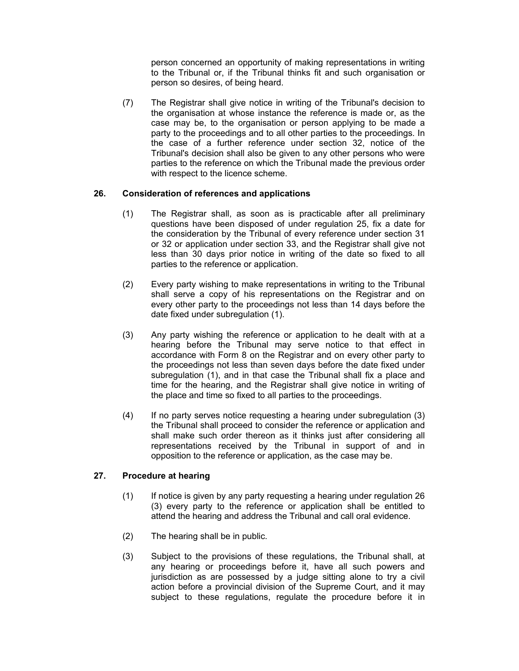person concerned an opportunity of making representations in writing to the Tribunal or, if the Tribunal thinks fit and such organisation or person so desires, of being heard.

(7) The Registrar shall give notice in writing of the Tribunal's decision to the organisation at whose instance the reference is made or, as the case may be, to the organisation or person applying to be made a party to the proceedings and to all other parties to the proceedings. In the case of a further reference under section 32, notice of the Tribunal's decision shall also be given to any other persons who were parties to the reference on which the Tribunal made the previous order with respect to the licence scheme.

# **26. Consideration of references and applications**

- (1) The Registrar shall, as soon as is practicable after all preliminary questions have been disposed of under regulation 25, fix a date for the consideration by the Tribunal of every reference under section 31 or 32 or application under section 33, and the Registrar shall give not less than 30 days prior notice in writing of the date so fixed to all parties to the reference or application.
- (2) Every party wishing to make representations in writing to the Tribunal shall serve a copy of his representations on the Registrar and on every other party to the proceedings not less than 14 days before the date fixed under subregulation (1).
- (3) Any party wishing the reference or application to he dealt with at a hearing before the Tribunal may serve notice to that effect in accordance with Form 8 on the Registrar and on every other party to the proceedings not less than seven days before the date fixed under subregulation (1), and in that case the Tribunal shall fix a place and time for the hearing, and the Registrar shall give notice in writing of the place and time so fixed to all parties to the proceedings.
- (4) If no party serves notice requesting a hearing under subregulation (3) the Tribunal shall proceed to consider the reference or application and shall make such order thereon as it thinks just after considering all representations received by the Tribunal in support of and in opposition to the reference or application, as the case may be.

# **27. Procedure at hearing**

- (1) If notice is given by any party requesting a hearing under regulation 26 (3) every party to the reference or application shall be entitled to attend the hearing and address the Tribunal and call oral evidence.
- (2) The hearing shall be in public.
- (3) Subject to the provisions of these regulations, the Tribunal shall, at any hearing or proceedings before it, have all such powers and jurisdiction as are possessed by a judge sitting alone to try a civil action before a provincial division of the Supreme Court, and it may subject to these regulations, regulate the procedure before it in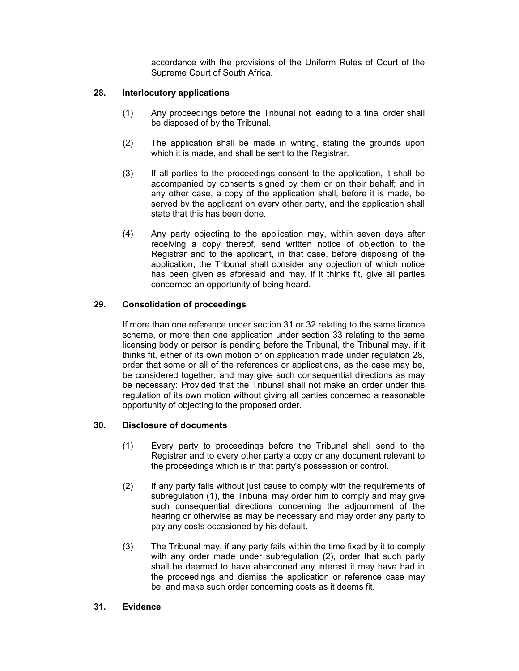accordance with the provisions of the Uniform Rules of Court of the Supreme Court of South Africa.

## **28. Interlocutory applications**

- (1) Any proceedings before the Tribunal not leading to a final order shall be disposed of by the Tribunal.
- (2) The application shall be made in writing, stating the grounds upon which it is made, and shall be sent to the Registrar.
- (3) If all parties to the proceedings consent to the application, it shall be accompanied by consents signed by them or on their behalf; and in any other case, a copy of the application shall, before it is made, be served by the applicant on every other party, and the application shall state that this has been done.
- (4) Any party objecting to the application may, within seven days after receiving a copy thereof, send written notice of objection to the Registrar and to the applicant, in that case, before disposing of the application, the Tribunal shall consider any objection of which notice has been given as aforesaid and may, if it thinks fit, give all parties concerned an opportunity of being heard.

# **29. Consolidation of proceedings**

If more than one reference under section 31 or 32 relating to the same licence scheme, or more than one application under section 33 relating to the same licensing body or person is pending before the Tribunal, the Tribunal may, if it thinks fit, either of its own motion or on application made under regulation 28, order that some or all of the references or applications, as the case may be, be considered together, and may give such consequential directions as may be necessary: Provided that the Tribunal shall not make an order under this regulation of its own motion without giving all parties concerned a reasonable opportunity of objecting to the proposed order.

### **30. Disclosure of documents**

- (1) Every party to proceedings before the Tribunal shall send to the Registrar and to every other party a copy or any document relevant to the proceedings which is in that party's possession or control.
- (2) If any party fails without just cause to comply with the requirements of subregulation (1), the Tribunal may order him to comply and may give such consequential directions concerning the adjournment of the hearing or otherwise as may be necessary and may order any party to pay any costs occasioned by his default.
- (3) The Tribunal may, if any party fails within the time fixed by it to comply with any order made under subregulation (2), order that such party shall be deemed to have abandoned any interest it may have had in the proceedings and dismiss the application or reference case may be, and make such order concerning costs as it deems fit.

### **31. Evidence**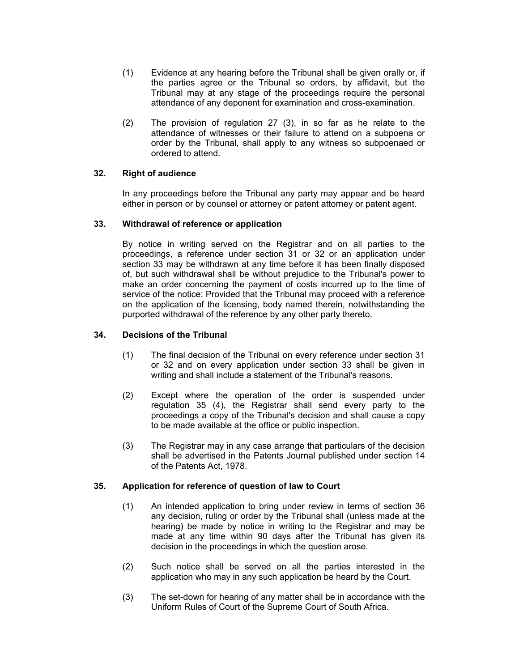- (1) Evidence at any hearing before the Tribunal shall be given orally or, if the parties agree or the Tribunal so orders, by affidavit, but the Tribunal may at any stage of the proceedings require the personal attendance of any deponent for examination and cross-examination.
- (2) The provision of regulation 27 (3), in so far as he relate to the attendance of witnesses or their failure to attend on a subpoena or order by the Tribunal, shall apply to any witness so subpoenaed or ordered to attend.

# **32. Right of audience**

In any proceedings before the Tribunal any party may appear and be heard either in person or by counsel or attorney or patent attorney or patent agent.

### **33. Withdrawal of reference or application**

By notice in writing served on the Registrar and on all parties to the proceedings, a reference under section 31 or 32 or an application under section 33 may be withdrawn at any time before it has been finally disposed of, but such withdrawal shall be without prejudice to the Tribunal's power to make an order concerning the payment of costs incurred up to the time of service of the notice: Provided that the Tribunal may proceed with a reference on the application of the licensing, body named therein, notwithstanding the purported withdrawal of the reference by any other party thereto.

### **34. Decisions of the Tribunal**

- (1) The final decision of the Tribunal on every reference under section 31 or 32 and on every application under section 33 shall be given in writing and shall include a statement of the Tribunal's reasons.
- (2) Except where the operation of the order is suspended under regulation 35 (4), the Registrar shall send every party to the proceedings a copy of the Tribunal's decision and shall cause a copy to be made available at the office or public inspection.
- (3) The Registrar may in any case arrange that particulars of the decision shall be advertised in the Patents Journal published under section 14 of the Patents Act, 1978.

### **35. Application for reference of question of law to Court**

- (1) An intended application to bring under review in terms of section 36 any decision, ruling or order by the Tribunal shall (unless made at the hearing) be made by notice in writing to the Registrar and may be made at any time within 90 days after the Tribunal has given its decision in the proceedings in which the question arose.
- (2) Such notice shall be served on all the parties interested in the application who may in any such application be heard by the Court.
- (3) The set-down for hearing of any matter shall be in accordance with the Uniform Rules of Court of the Supreme Court of South Africa.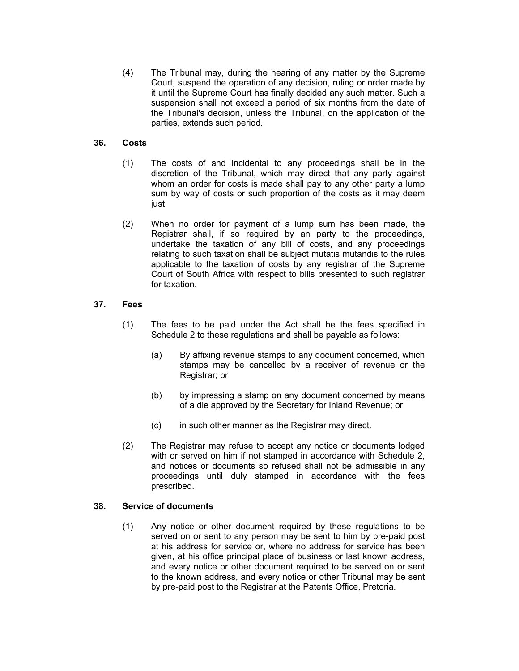(4) The Tribunal may, during the hearing of any matter by the Supreme Court, suspend the operation of any decision, ruling or order made by it until the Supreme Court has finally decided any such matter. Such a suspension shall not exceed a period of six months from the date of the Tribunal's decision, unless the Tribunal, on the application of the parties, extends such period.

# **36. Costs**

- (1) The costs of and incidental to any proceedings shall be in the discretion of the Tribunal, which may direct that any party against whom an order for costs is made shall pay to any other party a lump sum by way of costs or such proportion of the costs as it may deem just
- (2) When no order for payment of a lump sum has been made, the Registrar shall, if so required by an party to the proceedings, undertake the taxation of any bill of costs, and any proceedings relating to such taxation shall be subject mutatis mutandis to the rules applicable to the taxation of costs by any registrar of the Supreme Court of South Africa with respect to bills presented to such registrar for taxation.

### **37. Fees**

- (1) The fees to be paid under the Act shall be the fees specified in Schedule 2 to these regulations and shall be payable as follows:
	- (a) By affixing revenue stamps to any document concerned, which stamps may be cancelled by a receiver of revenue or the Registrar; or
	- (b) by impressing a stamp on any document concerned by means of a die approved by the Secretary for Inland Revenue; or
	- (c) in such other manner as the Registrar may direct.
- (2) The Registrar may refuse to accept any notice or documents lodged with or served on him if not stamped in accordance with Schedule 2, and notices or documents so refused shall not be admissible in any proceedings until duly stamped in accordance with the fees prescribed.

#### **38. Service of documents**

(1) Any notice or other document required by these regulations to be served on or sent to any person may be sent to him by pre-paid post at his address for service or, where no address for service has been given, at his office principal place of business or last known address, and every notice or other document required to be served on or sent to the known address, and every notice or other Tribunal may be sent by pre-paid post to the Registrar at the Patents Office, Pretoria.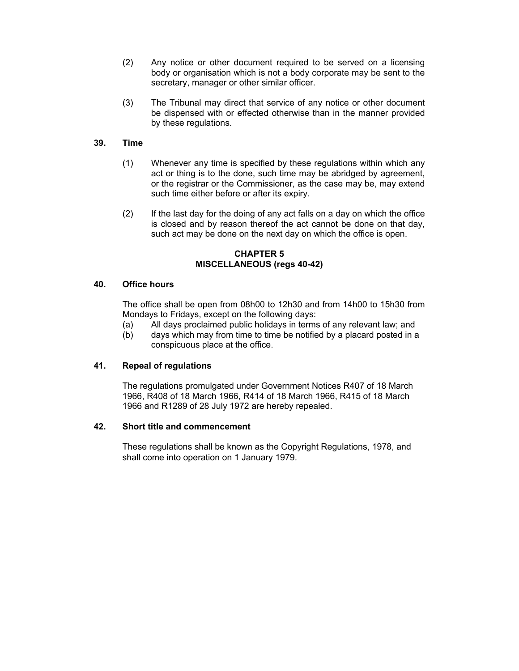- (2) Any notice or other document required to be served on a licensing body or organisation which is not a body corporate may be sent to the secretary, manager or other similar officer.
- (3) The Tribunal may direct that service of any notice or other document be dispensed with or effected otherwise than in the manner provided by these regulations.

# **39. Time**

- (1) Whenever any time is specified by these regulations within which any act or thing is to the done, such time may be abridged by agreement, or the registrar or the Commissioner, as the case may be, may extend such time either before or after its expiry.
- (2) If the last day for the doing of any act falls on a day on which the office is closed and by reason thereof the act cannot be done on that day, such act may be done on the next day on which the office is open.

### **CHAPTER 5 MISCELLANEOUS (regs 40-42)**

## **40. Office hours**

The office shall be open from 08h00 to 12h30 and from 14h00 to 15h30 from Mondays to Fridays, except on the following days:

- (a) All days proclaimed public holidays in terms of any relevant law; and
- (b) days which may from time to time be notified by a placard posted in a conspicuous place at the office.

# **41. Repeal of regulations**

The regulations promulgated under Government Notices R407 of 18 March 1966, R408 of 18 March 1966, R414 of 18 March 1966, R415 of 18 March 1966 and R1289 of 28 July 1972 are hereby repealed.

### **42. Short title and commencement**

These regulations shall be known as the Copyright Regulations, 1978, and shall come into operation on 1 January 1979.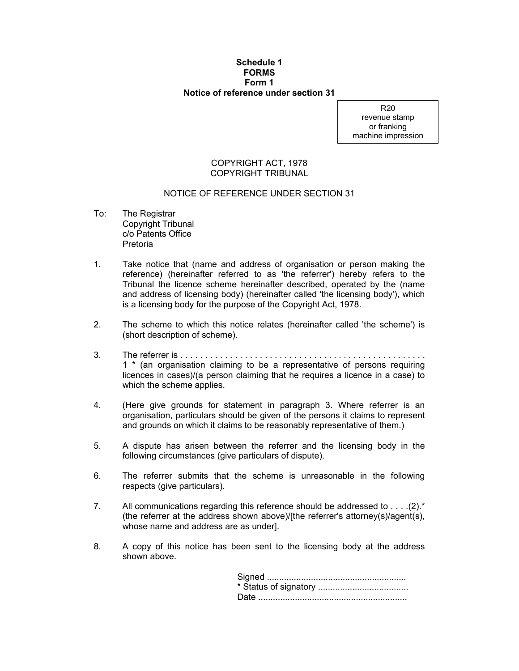#### **Schedule 1 FORMS Form 1 Notice of reference under section 31**

R20 revenue stamp or franking machine impression

### COPYRIGHT ACT, 1978 COPYRIGHT TRIBUNAL

### NOTICE OF REFERENCE UNDER SECTION 31

- To: The Registrar Copyright Tribunal c/o Patents Office Pretoria
- 1. Take notice that (name and address of organisation or person making the reference) (hereinafter referred to as 'the referrer') hereby refers to the Tribunal the licence scheme hereinafter described, operated by the (name and address of licensing body) (hereinafter called 'the licensing body'), which is a licensing body for the purpose of the Copyright Act, 1978.
- 2. The scheme to which this notice relates (hereinafter called 'the scheme') is (short description of scheme).
- 3. The referrer is . . . . . . . . . . . . . . . . . . . . . . . . . . . . . . . . . . . . . . . . . . . . . . . . . . 1 \* (an organisation claiming to be a representative of persons requiring licences in cases)/(a person claiming that he requires a licence in a case) to which the scheme applies.
- 4. (Here give grounds for statement in paragraph 3. Where referrer is an organisation, particulars should be given of the persons it claims to represent and grounds on which it claims to be reasonably representative of them.)
- 5. A dispute has arisen between the referrer and the licensing body in the following circumstances (give particulars of dispute).
- 6. The referrer submits that the scheme is unreasonable in the following respects (give particulars).
- 7. All communications regarding this reference should be addressed to . . . .(2).\* (the referrer at the address shown above)/[the referrer's attorney(s)/agent(s), whose name and address are as under].
- 8. A copy of this notice has been sent to the licensing body at the address shown above.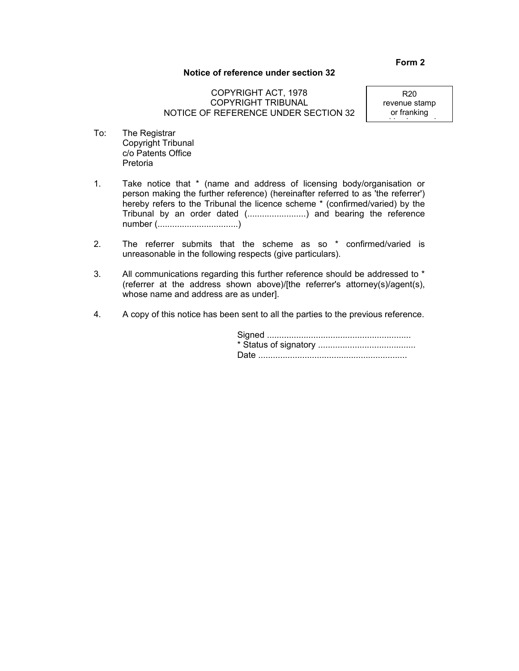### **Notice of reference under section 32**

# COPYRIGHT ACT, 1978 COPYRIGHT TRIBUNAL NOTICE OF REFERENCE UNDER SECTION 32

R20 revenue stamp or franking

hi i i

- To: The Registrar Copyright Tribunal c/o Patents Office Pretoria
- 1. Take notice that \* (name and address of licensing body/organisation or person making the further reference) (hereinafter referred to as 'the referrer') hereby refers to the Tribunal the licence scheme \* (confirmed/varied) by the Tribunal by an order dated (........................) and bearing the reference number (.................................)
- 2. The referrer submits that the scheme as so \* confirmed/varied is unreasonable in the following respects (give particulars).
- 3. All communications regarding this further reference should be addressed to \* (referrer at the address shown above)/[the referrer's attorney(s)/agent(s), whose name and address are as under].
- 4. A copy of this notice has been sent to all the parties to the previous reference.

#### **Form 2**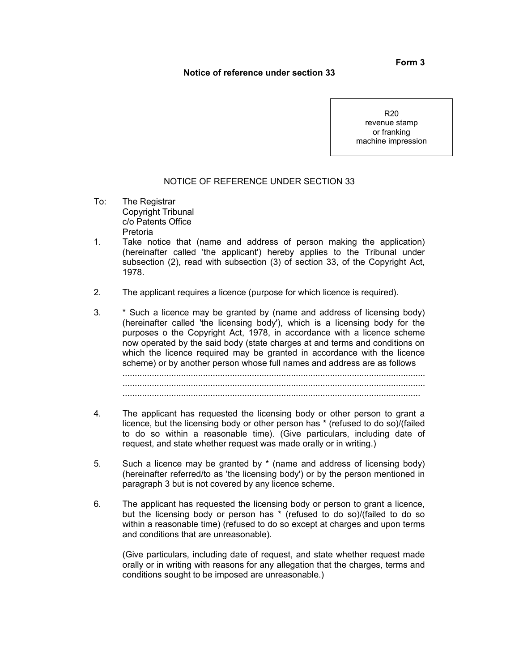## **Notice of reference under section 33**

R20 revenue stamp or franking machine impression

### NOTICE OF REFERENCE UNDER SECTION 33

- To: The Registrar Copyright Tribunal c/o Patents Office Pretoria
- 1. Take notice that (name and address of person making the application) (hereinafter called 'the applicant') hereby applies to the Tribunal under subsection (2), read with subsection (3) of section 33, of the Copyright Act, 1978.
- 2. The applicant requires a licence (purpose for which licence is required).
- 3. \* Such a licence may be granted by (name and address of licensing body) (hereinafter called 'the licensing body'), which is a licensing body for the purposes o the Copyright Act, 1978, in accordance with a licence scheme now operated by the said body (state charges at and terms and conditions on which the licence required may be granted in accordance with the licence scheme) or by another person whose full names and address are as follows ............................................................................................................................ ............................................................................................................................ ..........................................................................................................................
- 4. The applicant has requested the licensing body or other person to grant a licence, but the licensing body or other person has \* (refused to do so)/(failed to do so within a reasonable time). (Give particulars, including date of request, and state whether request was made orally or in writing.)
- 5. Such a licence may be granted by \* (name and address of licensing body) (hereinafter referred/to as 'the licensing body') or by the person mentioned in paragraph 3 but is not covered by any licence scheme.
- 6. The applicant has requested the licensing body or person to grant a licence, but the licensing body or person has \* (refused to do so)/(failed to do so within a reasonable time) (refused to do so except at charges and upon terms and conditions that are unreasonable).

(Give particulars, including date of request, and state whether request made orally or in writing with reasons for any allegation that the charges, terms and conditions sought to be imposed are unreasonable.)

### **Form 3**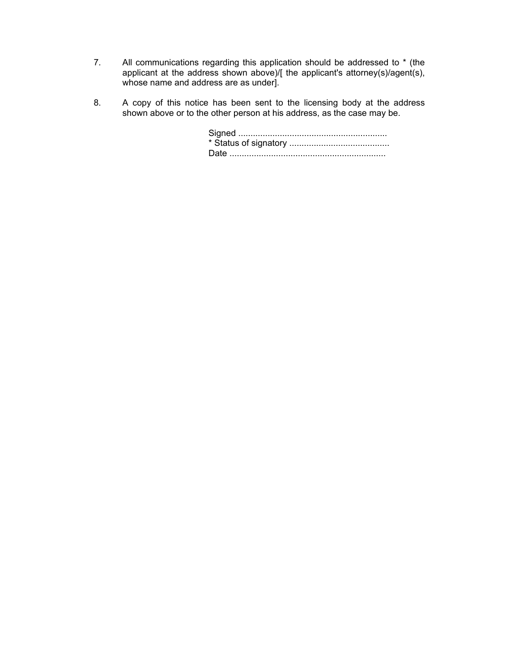- 7. All communications regarding this application should be addressed to \* (the applicant at the address shown above)/[ the applicant's attorney(s)/agent(s), whose name and address are as under].
- 8. A copy of this notice has been sent to the licensing body at the address shown above or to the other person at his address, as the case may be.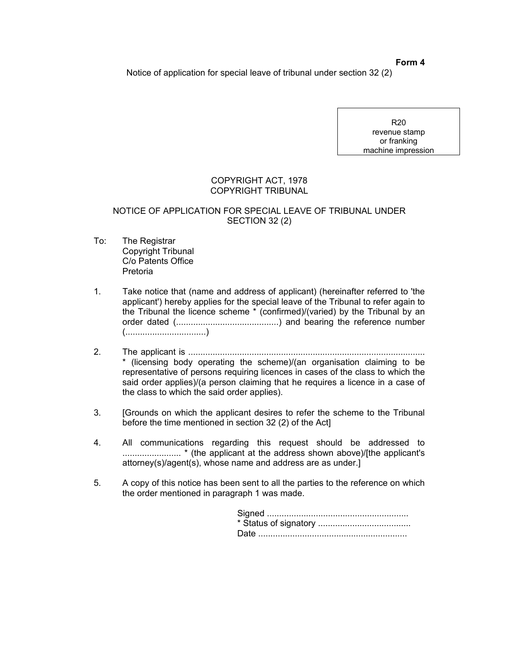Notice of application for special leave of tribunal under section 32 (2)

R20 revenue stamp or franking machine impression

# COPYRIGHT ACT, 1978 COPYRIGHT TRIBUNAL

## NOTICE OF APPLICATION FOR SPECIAL LEAVE OF TRIBUNAL UNDER SECTION 32 (2)

- To: The Registrar Copyright Tribunal C/o Patents Office Pretoria
- 1. Take notice that (name and address of applicant) (hereinafter referred to 'the applicant') hereby applies for the special leave of the Tribunal to refer again to the Tribunal the licence scheme \* (confirmed)/(varied) by the Tribunal by an order dated (..........................................) and bearing the reference number (.................................)
- 2. The applicant is ................................................................................................. \* (licensing body operating the scheme)/(an organisation claiming to be representative of persons requiring licences in cases of the class to which the said order applies)/(a person claiming that he requires a licence in a case of the class to which the said order applies).
- 3. [Grounds on which the applicant desires to refer the scheme to the Tribunal before the time mentioned in section 32 (2) of the Act]
- 4. All communications regarding this request should be addressed to ........................ \* (the applicant at the address shown above)/[the applicant's attorney(s)/agent(s), whose name and address are as under.]
- 5. A copy of this notice has been sent to all the parties to the reference on which the order mentioned in paragraph 1 was made.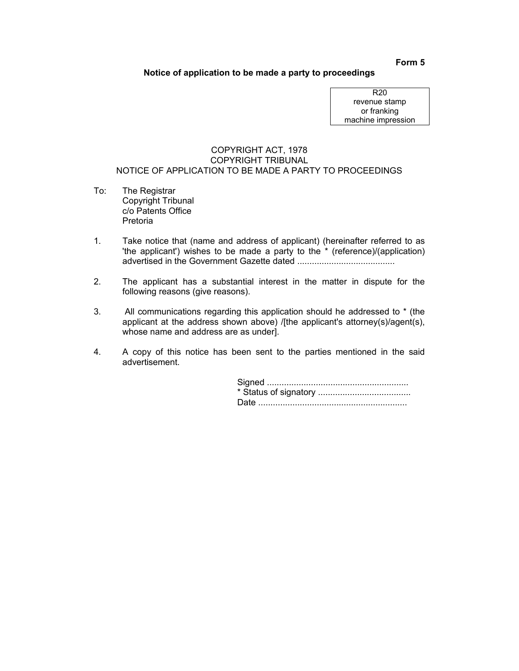## **Notice of application to be made a party to proceedings**

R20 revenue stamp or franking machine impression

### COPYRIGHT ACT, 1978 COPYRIGHT TRIBUNAL NOTICE OF APPLICATION TO BE MADE A PARTY TO PROCEEDINGS

- To: The Registrar Copyright Tribunal c/o Patents Office Pretoria
- 1. Take notice that (name and address of applicant) (hereinafter referred to as 'the applicant') wishes to be made a party to the \* (reference)/(application) advertised in the Government Gazette dated ........................................
- 2. The applicant has a substantial interest in the matter in dispute for the following reasons (give reasons).
- 3. All communications regarding this application should he addressed to \* (the applicant at the address shown above) /[the applicant's attorney(s)/agent(s), whose name and address are as under].
- 4. A copy of this notice has been sent to the parties mentioned in the said advertisement.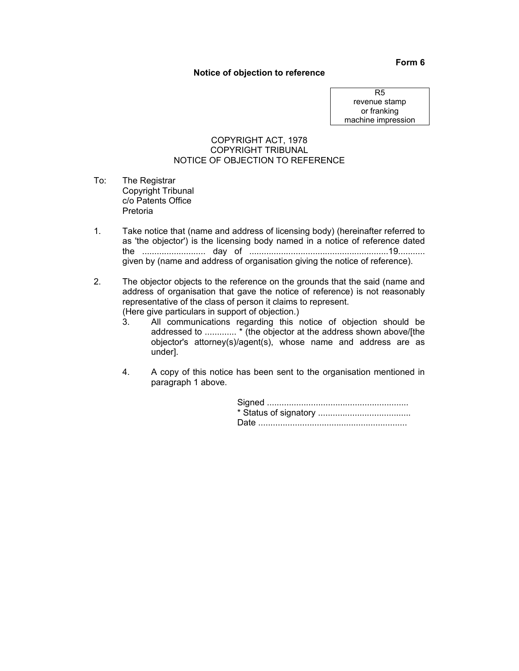#### **Notice of objection to reference**

R5 revenue stamp or franking machine impression

## COPYRIGHT ACT, 1978 COPYRIGHT TRIBUNAL NOTICE OF OBJECTION TO REFERENCE

- To: The Registrar Copyright Tribunal c/o Patents Office Pretoria
- 1. Take notice that (name and address of licensing body) (hereinafter referred to as 'the objector') is the licensing body named in a notice of reference dated the .......................... day of .........................................................19........... given by (name and address of organisation giving the notice of reference).
- 2. The objector objects to the reference on the grounds that the said (name and address of organisation that gave the notice of reference) is not reasonably representative of the class of person it claims to represent. (Here give particulars in support of objection.)
	- 3. All communications regarding this notice of objection should be addressed to ............. \* (the objector at the address shown above/[the objector's attorney(s)/agent(s), whose name and address are as under].
	- 4. A copy of this notice has been sent to the organisation mentioned in paragraph 1 above.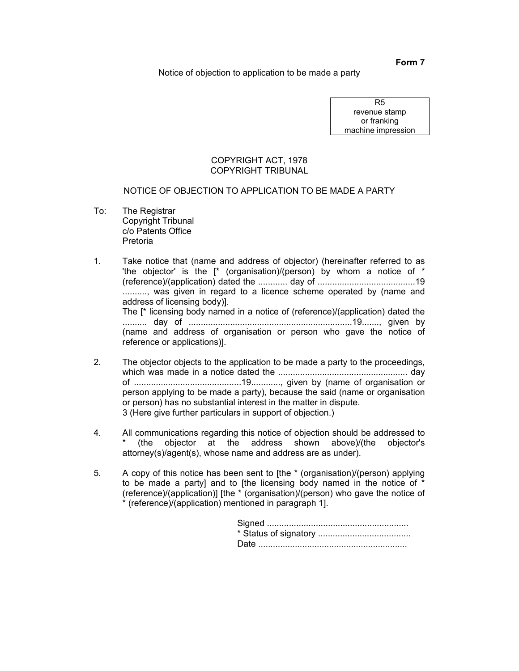Notice of objection to application to be made a party

R5 revenue stamp or franking machine impression

### COPYRIGHT ACT, 1978 COPYRIGHT TRIBUNAL

# NOTICE OF OBJECTION TO APPLICATION TO BE MADE A PARTY

To: The Registrar Copyright Tribunal c/o Patents Office Pretoria

1. Take notice that (name and address of objector) (hereinafter referred to as 'the objector' is the  $\uparrow$  (organisation)/(person) by whom a notice of  $*$ (reference)/(application) dated the ............ day of ........................................19 .........., was given in regard to a licence scheme operated by (name and address of licensing body)]. The [\* licensing body named in a notice of (reference)/(application) dated the .......... day of ...................................................................19......., given by (name and address of organisation or person who gave the notice of reference or applications)].

- 2. The objector objects to the application to be made a party to the proceedings, which was made in a notice dated the ..................................................... day of ............................................19............, given by (name of organisation or person applying to be made a party), because the said (name or organisation or person) has no substantial interest in the matter in dispute. 3 (Here give further particulars in support of objection.)
- 4. All communications regarding this notice of objection should be addressed to (the objector at the address shown above)/(the objector's attorney(s)/agent(s), whose name and address are as under).
- 5. A copy of this notice has been sent to [the \* (organisation)/(person) applying to be made a party] and to [the licensing body named in the notice of \* (reference)/(application)] [the \* (organisation)/(person) who gave the notice of \* (reference)/(application) mentioned in paragraph 1].

**Form 7**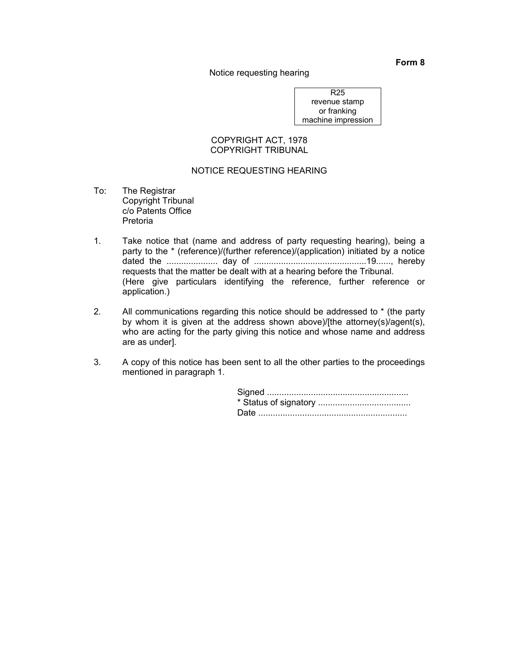Notice requesting hearing

R25 revenue stamp or franking machine impression

#### COPYRIGHT ACT, 1978 COPYRIGHT TRIBUNAL

## NOTICE REQUESTING HEARING

- To: The Registrar Copyright Tribunal c/o Patents Office Pretoria
- 1. Take notice that (name and address of party requesting hearing), being a party to the \* (reference)/(further reference)/(application) initiated by a notice dated the ..................... day of ..............................................19......, hereby requests that the matter be dealt with at a hearing before the Tribunal. (Here give particulars identifying the reference, further reference or application.)
- 2. All communications regarding this notice should be addressed to \* (the party by whom it is given at the address shown above)/[the attorney(s)/agent(s), who are acting for the party giving this notice and whose name and address are as under].
- 3. A copy of this notice has been sent to all the other parties to the proceedings mentioned in paragraph 1.